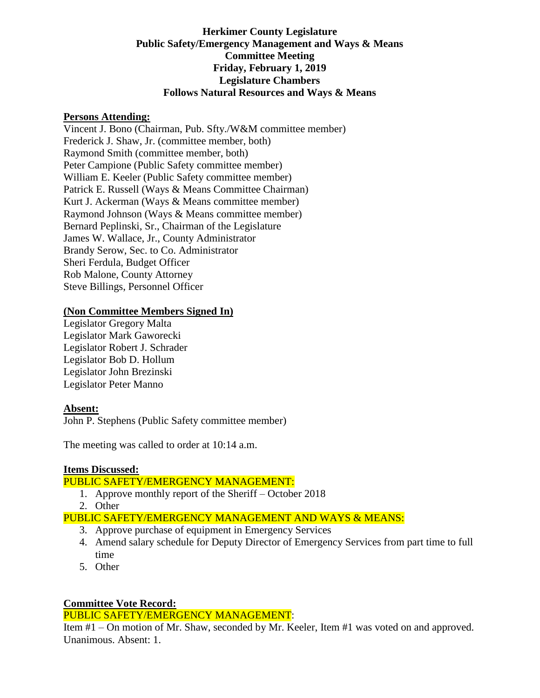# **Herkimer County Legislature Public Safety/Emergency Management and Ways & Means Committee Meeting Friday, February 1, 2019 Legislature Chambers Follows Natural Resources and Ways & Means**

#### **Persons Attending:**

Vincent J. Bono (Chairman, Pub. Sfty./W&M committee member) Frederick J. Shaw, Jr. (committee member, both) Raymond Smith (committee member, both) Peter Campione (Public Safety committee member) William E. Keeler (Public Safety committee member) Patrick E. Russell (Ways & Means Committee Chairman) Kurt J. Ackerman (Ways & Means committee member) Raymond Johnson (Ways & Means committee member) Bernard Peplinski, Sr., Chairman of the Legislature James W. Wallace, Jr., County Administrator Brandy Serow, Sec. to Co. Administrator Sheri Ferdula, Budget Officer Rob Malone, County Attorney Steve Billings, Personnel Officer

## **(Non Committee Members Signed In)**

Legislator Gregory Malta Legislator Mark Gaworecki Legislator Robert J. Schrader Legislator Bob D. Hollum Legislator John Brezinski Legislator Peter Manno

### **Absent:**

John P. Stephens (Public Safety committee member)

The meeting was called to order at 10:14 a.m.

### **Items Discussed:**

### PUBLIC SAFETY/EMERGENCY MANAGEMENT:

- 1. Approve monthly report of the Sheriff October 2018
- 2. Other
- PUBLIC SAFETY/EMERGENCY MANAGEMENT AND WAYS & MEANS:
	- 3. Approve purchase of equipment in Emergency Services
	- 4. Amend salary schedule for Deputy Director of Emergency Services from part time to full time
	- 5. Other

### **Committee Vote Record:**

### PUBLIC SAFETY/EMERGENCY MANAGEMENT:

Item #1 – On motion of Mr. Shaw, seconded by Mr. Keeler, Item #1 was voted on and approved. Unanimous. Absent: 1.